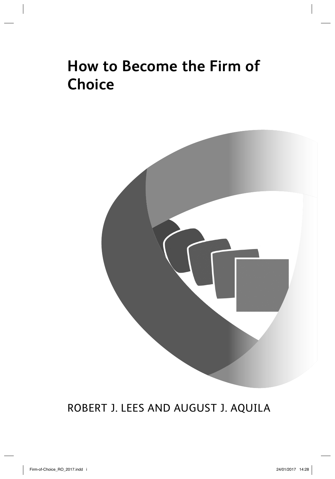# **How to Become the Firm of Choice**



### ROBERT J. LEES AND AUGUST J. AQUILA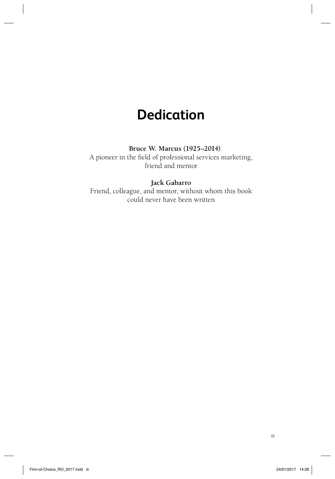## **Dedication**

### **Bruce W. Marcus (1925–2014)**

A pioneer in the field of professional services marketing, friend and mentor

### **Jack Gabarro**

Friend, colleague, and mentor, without whom this book could never have been written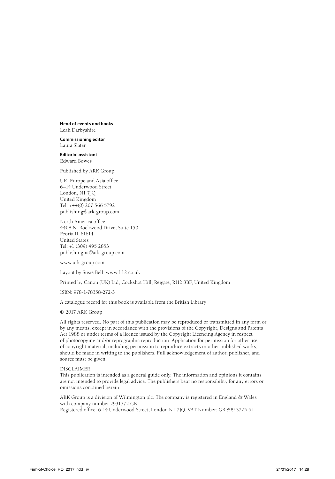**Head of events and books** Leah Darbyshire

**Commissioning editor** Laura Slater

**Editorial assistant** Edward Bowes

Published by ARK Group:

UK, Europe and Asia office 6–14 Underwood Street London, N1 7JQ United Kingdom Tel: +44(0) 207 566 5792 publishing@ark-group.com

North America office 4408 N. Rockwood Drive, Suite 150 Peoria IL 61614 United States Tel: +1 (309) 495 2853 publishingna@ark-group.com

www.ark-group.com

Layout by Susie Bell, www.f-12.co.uk

Printed by Canon (UK) Ltd, Cockshot Hill, Reigate, RH2 8BF, United Kingdom

ISBN: 978-1-78358-272-3

A catalogue record for this book is available from the British Library

© 2017 ARK Group

All rights reserved. No part of this publication may be reproduced or transmitted in any form or by any means, except in accordance with the provisions of the Copyright, Designs and Patents Act 1988 or under terms of a licence issued by the Copyright Licencing Agency in respect of photocopying and/or reprographic reproduction. Application for permission for other use of copyright material, including permission to reproduce extracts in other published works, should be made in writing to the publishers. Full acknowledgement of author, publisher, and source must be given.

#### DISCI AIMER

This publication is intended as a general guide only. The information and opinions it contains are not intended to provide legal advice. The publishers bear no responsibility for any errors or omissions contained herein.

ARK Group is a division of Wilmington plc. The company is registered in England & Wales with company number 2931372 GB

Registered office: 6-14 Underwood Street, London N1 7JO. VAT Number: GB 899 3725 51.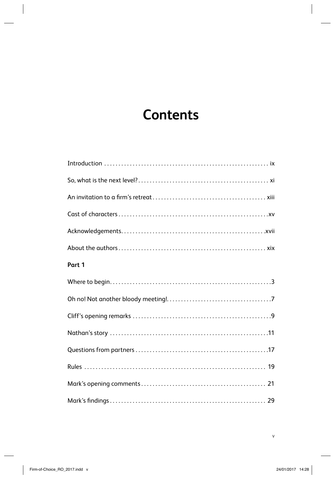# **Contents**

| Part 1 |
|--------|
|        |
|        |
|        |
|        |
|        |
|        |
|        |
|        |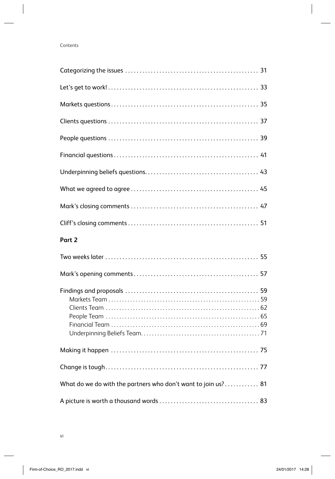| Part 2                                                        |
|---------------------------------------------------------------|
|                                                               |
|                                                               |
|                                                               |
|                                                               |
|                                                               |
|                                                               |
| What do we do with the partners who don't want to join us? 81 |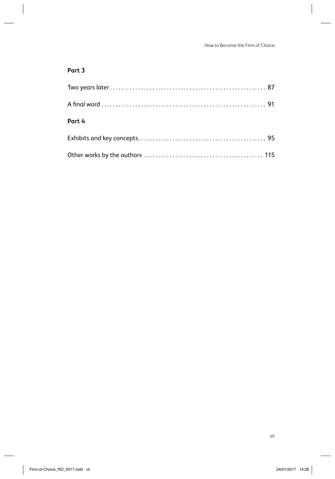### **Part 3**

| Part 4 |  |
|--------|--|
|        |  |
|        |  |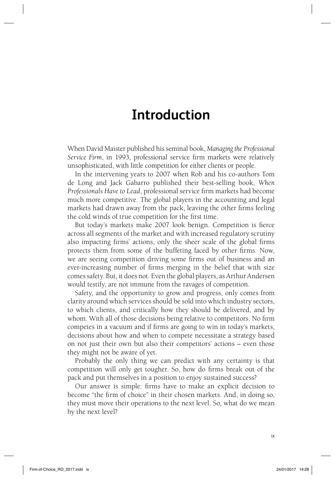## **Introduction**

When David Maister published his seminal book, *Managing the Professional Service Firm*, in 1993, professional service firm markets were relatively unsophisticated, with little competition for either clients or people.

In the intervening years to 2007 when Rob and his co-authors Tom de Long and Jack Gabarro published their best-selling book, *When Professionals Have to Lead*, professional service firm markets had become much more competitive. The global players in the accounting and legal markets had drawn away from the pack, leaving the other firms feeling the cold winds of true competition for the first time.

But today's markets make 2007 look benign. Competition is fierce across all segments of the market and with increased regulatory scrutiny also impacting firms' actions, only the sheer scale of the global firms protects them from some of the buffeting faced by other firms. Now, we are seeing competition driving some firms out of business and an ever-increasing number of firms merging in the belief that with size comes safety. But, it does not. Even the global players, as Arthur Andersen would testify, are not immune from the ravages of competition.

Safety, and the opportunity to grow and progress, only comes from clarity around which services should be sold into which industry sectors, to which clients, and critically how they should be delivered, and by whom. With all of those decisions being relative to competitors. No firm competes in a vacuum and if firms are going to win in today's markets, decisions about how and when to compete necessitate a strategy based on not just their own but also their competitors' actions – even those they might not be aware of yet.

Probably the only thing we can predict with any certainty is that competition will only get tougher. So, how do firms break out of the pack and put themselves in a position to enjoy sustained success?

Our answer is simple: firms have to make an explicit decision to become "the firm of choice" in their chosen markets. And, in doing so, they must move their operations to the next level. So, what do we mean by the next level?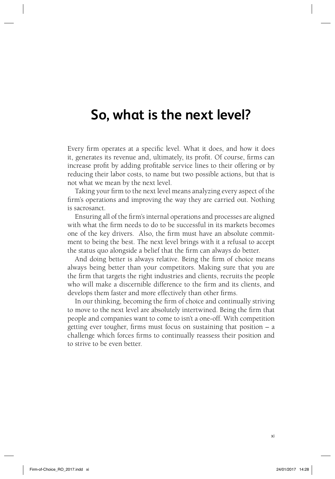## **So, what is the next level?**

Every firm operates at a specific level. What it does, and how it does it, generates its revenue and, ultimately, its profit. Of course, firms can increase profit by adding profitable service lines to their offering or by reducing their labor costs, to name but two possible actions, but that is not what we mean by the next level.

Taking your firm to the next level means analyzing every aspect of the firm's operations and improving the way they are carried out. Nothing is sacrosanct.

Ensuring all of the firm's internal operations and processes are aligned with what the firm needs to do to be successful in its markets becomes one of the key drivers. Also, the firm must have an absolute commitment to being the best. The next level brings with it a refusal to accept the status quo alongside a belief that the firm can always do better.

And doing better is always relative. Being the firm of choice means always being better than your competitors. Making sure that you are the firm that targets the right industries and clients, recruits the people who will make a discernible difference to the firm and its clients, and develops them faster and more effectively than other firms.

In our thinking, becoming the firm of choice and continually striving to move to the next level are absolutely intertwined. Being the firm that people and companies want to come to isn't a one-off. With competition getting ever tougher, firms must focus on sustaining that position  $- a$ challenge which forces firms to continually reassess their position and to strive to be even better.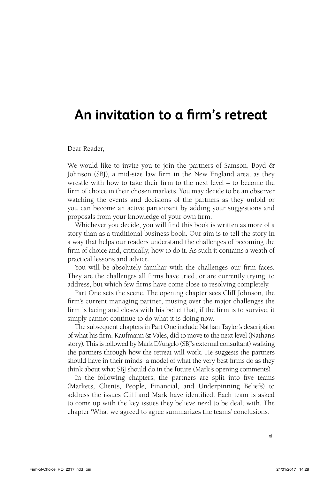## An invitation to a firm's retreat

Dear Reader,

We would like to invite you to join the partners of Samson, Boyd  $\&$ Johnson (SBJ), a mid-size law firm in the New England area, as they wrestle with how to take their firm to the next level  $-$  to become the firm of choice in their chosen markets. You may decide to be an observer watching the events and decisions of the partners as they unfold or you can become an active participant by adding your suggestions and proposals from your knowledge of your own firm.

Whichever you decide, you will find this book is written as more of a story than as a traditional business book. Our aim is to tell the story in a way that helps our readers understand the challenges of becoming the firm of choice and, critically, how to do it. As such it contains a weath of practical lessons and advice.

You will be absolutely familiar with the challenges our firm faces. They are the challenges all firms have tried, or are currently trying, to address, but which few firms have come close to resolving completely.

Part One sets the scene. The opening chapter sees Cliff Johnson, the firm's current managing partner, musing over the major challenges the firm is facing and closes with his belief that, if the firm is to survive, it simply cannot continue to do what it is doing now.

The subsequent chapters in Part One include Nathan Taylor's description of what his firm, Kaufmann & Vales, did to move to the next level (Nathan's story). This is followed by Mark D'Angelo (SBJ's external consultant) walking the partners through how the retreat will work. He suggests the partners should have in their minds a model of what the very best firms do as they think about what SBJ should do in the future (Mark's opening comments).

In the following chapters, the partners are split into five teams (Markets, Clients, People, Financial, and Underpinning Beliefs) to address the issues Cliff and Mark have identified. Each team is asked to come up with the key issues they believe need to be dealt with. The chapter 'What we agreed to agree summarizes the teams' conclusions.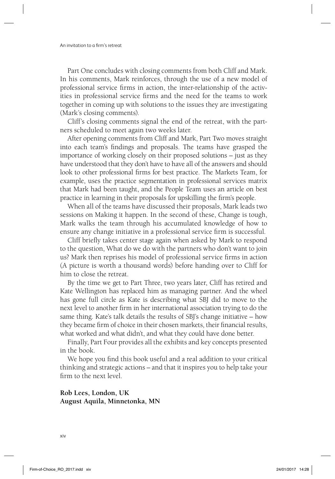Part One concludes with closing comments from both Cliff and Mark. In his comments, Mark reinforces, through the use of a new model of professional service firms in action, the inter-relationship of the activities in professional service firms and the need for the teams to work together in coming up with solutions to the issues they are investigating (Mark's closing comments).

Cliff's closing comments signal the end of the retreat, with the partners scheduled to meet again two weeks later.

After opening comments from Cliff and Mark, Part Two moves straight into each team's findings and proposals. The teams have grasped the importance of working closely on their proposed solutions – just as they have understood that they don't have to have all of the answers and should look to other professional firms for best practice. The Markets Team, for example, uses the practice segmentation in professional services matrix that Mark had been taught, and the People Team uses an article on best practice in learning in their proposals for upskilling the firm's people.

When all of the teams have discussed their proposals, Mark leads two sessions on Making it happen. In the second of these, Change is tough, Mark walks the team through his accumulated knowledge of how to ensure any change initiative in a professional service firm is successful.

Cliff briefly takes center stage again when asked by Mark to respond to the question, What do we do with the partners who don't want to join us? Mark then reprises his model of professional service firms in action (A picture is worth a thousand words) before handing over to Cliff for him to close the retreat.

By the time we get to Part Three, two years later, Cliff has retired and Kate Wellington has replaced him as managing partner. And the wheel has gone full circle as Kate is describing what SBJ did to move to the next level to another firm in her international association trying to do the same thing. Kate's talk details the results of SBJ's change initiative – how they became firm of choice in their chosen markets, their financial results, what worked and what didn't, and what they could have done better.

Finally, Part Four provides all the exhibits and key concepts presented in the book.

We hope you find this book useful and a real addition to your critical thinking and strategic actions – and that it inspires you to help take your firm to the next level

**Rob Lees, London, UK August Aquila, Minnetonka, MN**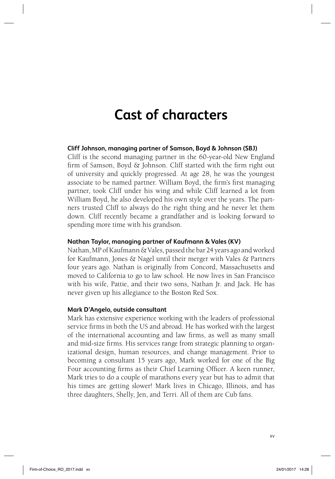# **Cast of characters**

### **Cliff Johnson, managing partner of Samson, Boyd & Johnson (SBJ)**

Cliff is the second managing partner in the 60-year-old New England firm of Samson, Boyd  $\&$  Johnson. Cliff started with the firm right out of university and quickly progressed. At age 28, he was the youngest associate to be named partner. William Boyd, the firm's first managing partner, took Cliff under his wing and while Cliff learned a lot from William Boyd, he also developed his own style over the years. The partners trusted Cliff to always do the right thing and he never let them down. Cliff recently became a grandfather and is looking forward to spending more time with his grandson.

#### **Nathan Taylor, managing partner of Kaufmann & Vales (KV)**

Nathan, MP of Kaufmann & Vales, passed the bar 24 years ago and worked for Kaufmann, Jones & Nagel until their merger with Vales & Partners four years ago. Nathan is originally from Concord, Massachusetts and moved to California to go to law school. He now lives in San Francisco with his wife, Pattie, and their two sons, Nathan Jr. and Jack. He has never given up his allegiance to the Boston Red Sox.

### **Mark D'Angelo, outside consultant**

Mark has extensive experience working with the leaders of professional service firms in both the US and abroad. He has worked with the largest of the international accounting and law firms, as well as many small and mid-size firms. His services range from strategic planning to organizational design, human resources, and change management. Prior to becoming a consultant 15 years ago, Mark worked for one of the Big Four accounting firms as their Chief Learning Officer. A keen runner, Mark tries to do a couple of marathons every year but has to admit that his times are getting slower! Mark lives in Chicago, Illinois, and has three daughters, Shelly, Jen, and Terri. All of them are Cub fans.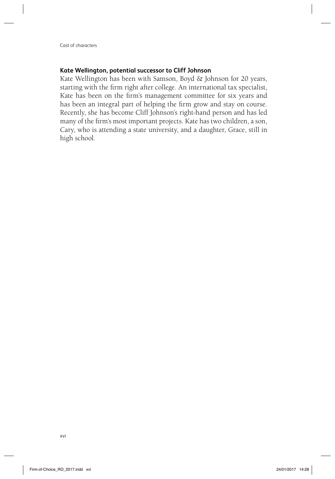### **Kate Wellington, potential successor to Cliff Johnson**

Kate Wellington has been with Samson, Boyd & Johnson for 20 years, starting with the firm right after college. An international tax specialist, Kate has been on the firm's management committee for six years and has been an integral part of helping the firm grow and stay on course. Recently, she has become Cliff Johnson's right-hand person and has led many of the firm's most important projects. Kate has two children, a son, Cary, who is attending a state university, and a daughter, Grace, still in high school.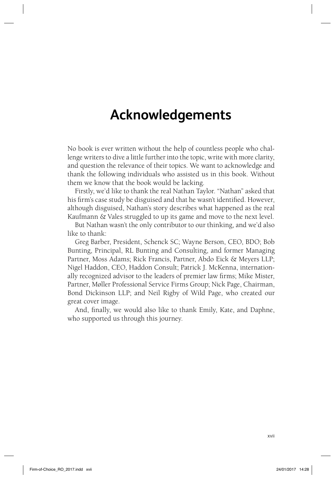## **Acknowledgements**

No book is ever written without the help of countless people who challenge writers to dive a little further into the topic, write with more clarity, and question the relevance of their topics. We want to acknowledge and thank the following individuals who assisted us in this book. Without them we know that the book would be lacking.

Firstly, we'd like to thank the real Nathan Taylor. "Nathan" asked that his firm's case study be disguised and that he wasn't identified. However, although disguised, Nathan's story describes what happened as the real Kaufmann & Vales struggled to up its game and move to the next level.

But Nathan wasn't the only contributor to our thinking, and we'd also like to thank:

Greg Barber, President, Schenck SC; Wayne Berson, CEO, BDO; Bob Bunting, Principal, RL Bunting and Consulting, and former Managing Partner, Moss Adams; Rick Francis, Partner, Abdo Eick & Meyers LLP; Nigel Haddon, CEO, Haddon Consult; Patrick J. McKenna, internationally recognized advisor to the leaders of premier law firms; Mike Mister, Partner, Møller Professional Service Firms Group; Nick Page, Chairman, Bond Dickinson LLP; and Neil Rigby of Wild Page, who created our great cover image.

And, finally, we would also like to thank Emily, Kate, and Daphne, who supported us through this journey.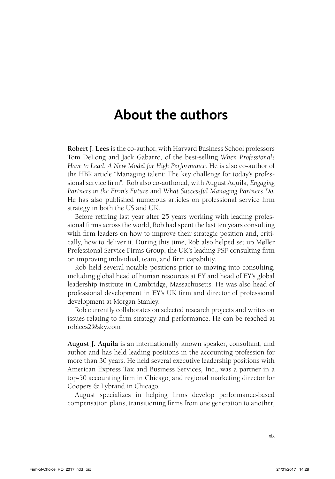### **About the authors**

**Robert J. Lees** is the co-author, with Harvard Business School professors Tom DeLong and Jack Gabarro, of the best-selling *When Professionals Have to Lead: A New Model for High Performance*. He is also co-author of the HBR article "Managing talent: The key challenge for today's professional service firm". Rob also co-authored, with August Aquila, *Engaging Partners in the Firm's Future* and *What Successful Managing Partners Do*. He has also published numerous articles on professional service firm strategy in both the US and UK.

Before retiring last year after 25 years working with leading professional firms across the world, Rob had spent the last ten years consulting with firm leaders on how to improve their strategic position and, critically, how to deliver it. During this time, Rob also helped set up Møller Professional Service Firms Group, the UK's leading PSF consulting firm on improving individual, team, and firm capability.

Rob held several notable positions prior to moving into consulting, including global head of human resources at EY and head of EY's global leadership institute in Cambridge, Massachusetts. He was also head of professional development in EY's UK firm and director of professional development at Morgan Stanley.

Rob currently collaborates on selected research projects and writes on issues relating to firm strategy and performance. He can be reached at roblees2@sky.com

**August J. Aquila** is an internationally known speaker, consultant, and author and has held leading positions in the accounting profession for more than 30 years. He held several executive leadership positions with American Express Tax and Business Services, Inc., was a partner in a top-50 accounting firm in Chicago, and regional marketing director for Coopers & Lybrand in Chicago.

August specializes in helping firms develop performance-based compensation plans, transitioning firms from one generation to another,